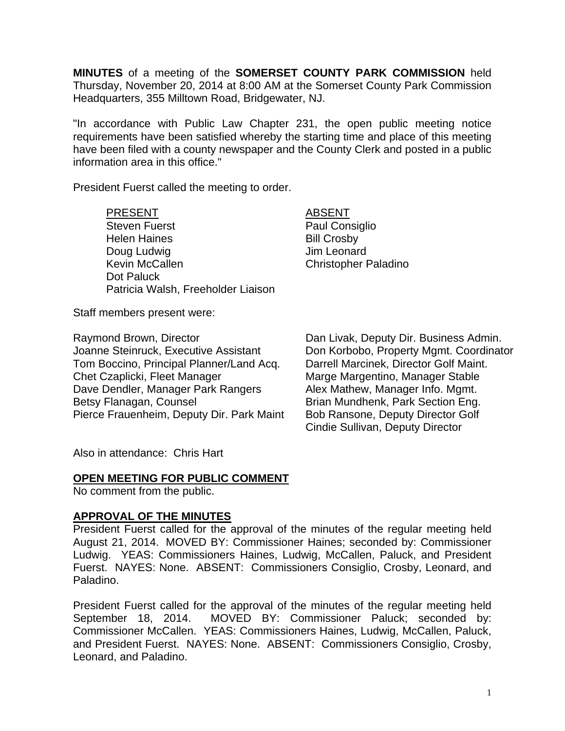**MINUTES** of a meeting of the **SOMERSET COUNTY PARK COMMISSION** held Thursday, November 20, 2014 at 8:00 AM at the Somerset County Park Commission Headquarters, 355 Milltown Road, Bridgewater, NJ.

"In accordance with Public Law Chapter 231, the open public meeting notice requirements have been satisfied whereby the starting time and place of this meeting have been filed with a county newspaper and the County Clerk and posted in a public information area in this office."

President Fuerst called the meeting to order.

#### PRESENT ABSENT

Steven Fuerst **Paul Consiglio** Helen Haines **Bill Crosby** Doug Ludwig **Doug Ludwig Jim Leonard** Kevin McCallen Christopher Paladino Dot Paluck Patricia Walsh, Freeholder Liaison

Staff members present were:

Tom Boccino, Principal Planner/Land Acq. Darrell Marcinek, Director Golf Maint. Chet Czaplicki, Fleet Manager Manager Marge Margentino, Manager Stable Dave Dendler, Manager Park Rangers Alex Mathew, Manager Info. Mgmt. Betsy Flanagan, Counsel **Brian Mundhenk, Park Section Eng.** Pierce Frauenheim, Deputy Dir. Park Maint Bob Ransone, Deputy Director Golf

Raymond Brown, Director **Dan Livak, Deputy Dir. Business Admin.**<br>Joanne Steinruck, Executive Assistant Don Korbobo, Property Mgmt. Coordinat Don Korbobo, Property Mgmt. Coordinator Cindie Sullivan, Deputy Director

Also in attendance: Chris Hart

## **OPEN MEETING FOR PUBLIC COMMENT**

No comment from the public.

## **APPROVAL OF THE MINUTES**

President Fuerst called for the approval of the minutes of the regular meeting held August 21, 2014. MOVED BY: Commissioner Haines; seconded by: Commissioner Ludwig. YEAS: Commissioners Haines, Ludwig, McCallen, Paluck, and President Fuerst. NAYES: None. ABSENT: Commissioners Consiglio, Crosby, Leonard, and Paladino.

President Fuerst called for the approval of the minutes of the regular meeting held September 18, 2014. MOVED BY: Commissioner Paluck; seconded by: Commissioner McCallen. YEAS: Commissioners Haines, Ludwig, McCallen, Paluck, and President Fuerst. NAYES: None. ABSENT: Commissioners Consiglio, Crosby, Leonard, and Paladino.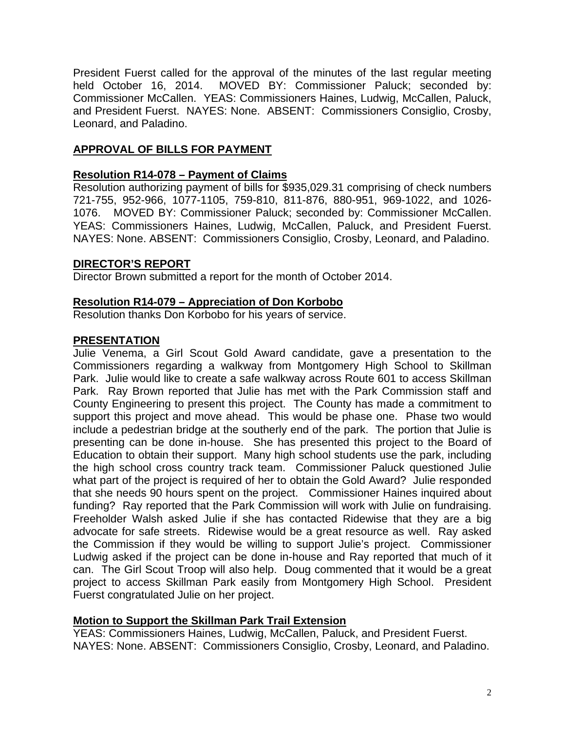President Fuerst called for the approval of the minutes of the last regular meeting held October 16, 2014. MOVED BY: Commissioner Paluck; seconded by: Commissioner McCallen. YEAS: Commissioners Haines, Ludwig, McCallen, Paluck, and President Fuerst. NAYES: None. ABSENT: Commissioners Consiglio, Crosby, Leonard, and Paladino.

# **APPROVAL OF BILLS FOR PAYMENT**

## **Resolution R14-078 – Payment of Claims**

Resolution authorizing payment of bills for \$935,029.31 comprising of check numbers 721-755, 952-966, 1077-1105, 759-810, 811-876, 880-951, 969-1022, and 1026- 1076. MOVED BY: Commissioner Paluck; seconded by: Commissioner McCallen. YEAS: Commissioners Haines, Ludwig, McCallen, Paluck, and President Fuerst. NAYES: None. ABSENT: Commissioners Consiglio, Crosby, Leonard, and Paladino.

#### **DIRECTOR'S REPORT**

Director Brown submitted a report for the month of October 2014.

#### **Resolution R14-079 – Appreciation of Don Korbobo**

Resolution thanks Don Korbobo for his years of service.

## **PRESENTATION**

Julie Venema, a Girl Scout Gold Award candidate, gave a presentation to the Commissioners regarding a walkway from Montgomery High School to Skillman Park. Julie would like to create a safe walkway across Route 601 to access Skillman Park. Ray Brown reported that Julie has met with the Park Commission staff and County Engineering to present this project. The County has made a commitment to support this project and move ahead. This would be phase one. Phase two would include a pedestrian bridge at the southerly end of the park. The portion that Julie is presenting can be done in-house. She has presented this project to the Board of Education to obtain their support. Many high school students use the park, including the high school cross country track team. Commissioner Paluck questioned Julie what part of the project is required of her to obtain the Gold Award? Julie responded that she needs 90 hours spent on the project. Commissioner Haines inquired about funding? Ray reported that the Park Commission will work with Julie on fundraising. Freeholder Walsh asked Julie if she has contacted Ridewise that they are a big advocate for safe streets. Ridewise would be a great resource as well. Ray asked the Commission if they would be willing to support Julie's project. Commissioner Ludwig asked if the project can be done in-house and Ray reported that much of it can. The Girl Scout Troop will also help. Doug commented that it would be a great project to access Skillman Park easily from Montgomery High School. President Fuerst congratulated Julie on her project.

## **Motion to Support the Skillman Park Trail Extension**

YEAS: Commissioners Haines, Ludwig, McCallen, Paluck, and President Fuerst. NAYES: None. ABSENT: Commissioners Consiglio, Crosby, Leonard, and Paladino.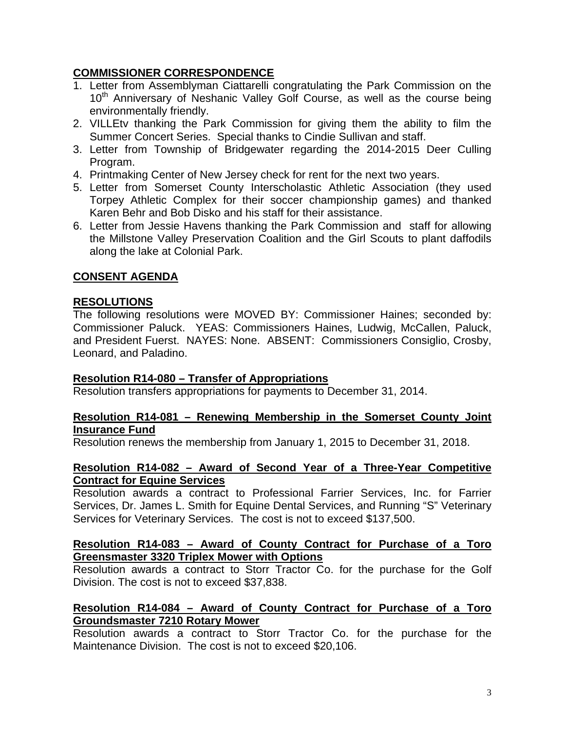# **COMMISSIONER CORRESPONDENCE**

- 1. Letter from Assemblyman Ciattarelli congratulating the Park Commission on the 10<sup>th</sup> Anniversary of Neshanic Valley Golf Course, as well as the course being environmentally friendly.
- 2. VILLEtv thanking the Park Commission for giving them the ability to film the Summer Concert Series. Special thanks to Cindie Sullivan and staff.
- 3. Letter from Township of Bridgewater regarding the 2014-2015 Deer Culling Program.
- 4. Printmaking Center of New Jersey check for rent for the next two years.
- 5. Letter from Somerset County Interscholastic Athletic Association (they used Torpey Athletic Complex for their soccer championship games) and thanked Karen Behr and Bob Disko and his staff for their assistance.
- 6. Letter from Jessie Havens thanking the Park Commission and staff for allowing the Millstone Valley Preservation Coalition and the Girl Scouts to plant daffodils along the lake at Colonial Park.

# **CONSENT AGENDA**

# **RESOLUTIONS**

The following resolutions were MOVED BY: Commissioner Haines; seconded by: Commissioner Paluck. YEAS: Commissioners Haines, Ludwig, McCallen, Paluck, and President Fuerst. NAYES: None. ABSENT: Commissioners Consiglio, Crosby, Leonard, and Paladino.

## **Resolution R14-080 – Transfer of Appropriations**

Resolution transfers appropriations for payments to December 31, 2014.

## **Resolution R14-081 – Renewing Membership in the Somerset County Joint Insurance Fund**

Resolution renews the membership from January 1, 2015 to December 31, 2018.

## **Resolution R14-082 – Award of Second Year of a Three-Year Competitive Contract for Equine Services**

Resolution awards a contract to Professional Farrier Services, Inc. for Farrier Services, Dr. James L. Smith for Equine Dental Services, and Running "S" Veterinary Services for Veterinary Services. The cost is not to exceed \$137,500.

#### **Resolution R14-083 – Award of County Contract for Purchase of a Toro Greensmaster 3320 Triplex Mower with Options**

Resolution awards a contract to Storr Tractor Co. for the purchase for the Golf Division. The cost is not to exceed \$37,838.

# **Resolution R14-084 – Award of County Contract for Purchase of a Toro Groundsmaster 7210 Rotary Mower**

Resolution awards a contract to Storr Tractor Co. for the purchase for the Maintenance Division. The cost is not to exceed \$20,106.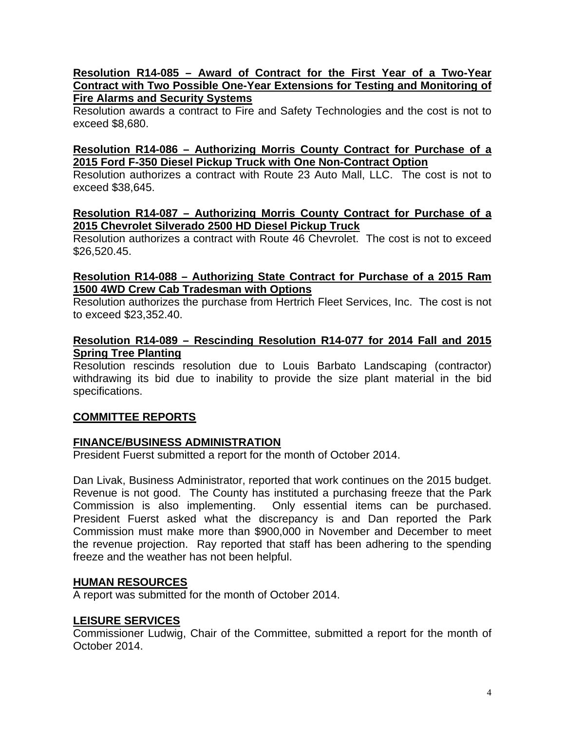#### **Resolution R14-085 – Award of Contract for the First Year of a Two-Year Contract with Two Possible One-Year Extensions for Testing and Monitoring of Fire Alarms and Security Systems**

Resolution awards a contract to Fire and Safety Technologies and the cost is not to exceed \$8,680.

## **Resolution R14-086 – Authorizing Morris County Contract for Purchase of a 2015 Ford F-350 Diesel Pickup Truck with One Non-Contract Option**

Resolution authorizes a contract with Route 23 Auto Mall, LLC. The cost is not to exceed \$38,645.

## **Resolution R14-087 – Authorizing Morris County Contract for Purchase of a 2015 Chevrolet Silverado 2500 HD Diesel Pickup Truck**

Resolution authorizes a contract with Route 46 Chevrolet. The cost is not to exceed \$26,520.45.

# **Resolution R14-088 – Authorizing State Contract for Purchase of a 2015 Ram 1500 4WD Crew Cab Tradesman with Options**

Resolution authorizes the purchase from Hertrich Fleet Services, Inc. The cost is not to exceed \$23,352.40.

# **Resolution R14-089 – Rescinding Resolution R14-077 for 2014 Fall and 2015 Spring Tree Planting**

Resolution rescinds resolution due to Louis Barbato Landscaping (contractor) withdrawing its bid due to inability to provide the size plant material in the bid specifications.

# **COMMITTEE REPORTS**

## **FINANCE/BUSINESS ADMINISTRATION**

President Fuerst submitted a report for the month of October 2014.

Dan Livak, Business Administrator, reported that work continues on the 2015 budget. Revenue is not good. The County has instituted a purchasing freeze that the Park Commission is also implementing. Only essential items can be purchased. President Fuerst asked what the discrepancy is and Dan reported the Park Commission must make more than \$900,000 in November and December to meet the revenue projection. Ray reported that staff has been adhering to the spending freeze and the weather has not been helpful.

## **HUMAN RESOURCES**

A report was submitted for the month of October 2014.

## **LEISURE SERVICES**

Commissioner Ludwig, Chair of the Committee, submitted a report for the month of October 2014.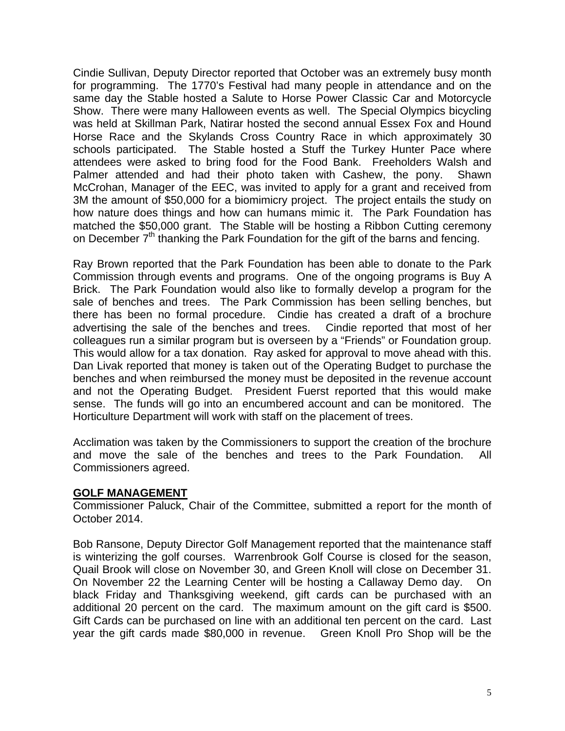Cindie Sullivan, Deputy Director reported that October was an extremely busy month for programming. The 1770's Festival had many people in attendance and on the same day the Stable hosted a Salute to Horse Power Classic Car and Motorcycle Show. There were many Halloween events as well. The Special Olympics bicycling was held at Skillman Park, Natirar hosted the second annual Essex Fox and Hound Horse Race and the Skylands Cross Country Race in which approximately 30 schools participated. The Stable hosted a Stuff the Turkey Hunter Pace where attendees were asked to bring food for the Food Bank. Freeholders Walsh and Palmer attended and had their photo taken with Cashew, the pony. Shawn McCrohan, Manager of the EEC, was invited to apply for a grant and received from 3M the amount of \$50,000 for a biomimicry project. The project entails the study on how nature does things and how can humans mimic it. The Park Foundation has matched the \$50,000 grant. The Stable will be hosting a Ribbon Cutting ceremony on December 7<sup>th</sup> thanking the Park Foundation for the gift of the barns and fencing.

Ray Brown reported that the Park Foundation has been able to donate to the Park Commission through events and programs. One of the ongoing programs is Buy A Brick. The Park Foundation would also like to formally develop a program for the sale of benches and trees. The Park Commission has been selling benches, but there has been no formal procedure. Cindie has created a draft of a brochure advertising the sale of the benches and trees. Cindie reported that most of her colleagues run a similar program but is overseen by a "Friends" or Foundation group. This would allow for a tax donation. Ray asked for approval to move ahead with this. Dan Livak reported that money is taken out of the Operating Budget to purchase the benches and when reimbursed the money must be deposited in the revenue account and not the Operating Budget. President Fuerst reported that this would make sense. The funds will go into an encumbered account and can be monitored. The Horticulture Department will work with staff on the placement of trees.

Acclimation was taken by the Commissioners to support the creation of the brochure and move the sale of the benches and trees to the Park Foundation. All Commissioners agreed.

#### **GOLF MANAGEMENT**

Commissioner Paluck, Chair of the Committee, submitted a report for the month of October 2014.

Bob Ransone, Deputy Director Golf Management reported that the maintenance staff is winterizing the golf courses. Warrenbrook Golf Course is closed for the season, Quail Brook will close on November 30, and Green Knoll will close on December 31. On November 22 the Learning Center will be hosting a Callaway Demo day. On black Friday and Thanksgiving weekend, gift cards can be purchased with an additional 20 percent on the card. The maximum amount on the gift card is \$500. Gift Cards can be purchased on line with an additional ten percent on the card. Last year the gift cards made \$80,000 in revenue. Green Knoll Pro Shop will be the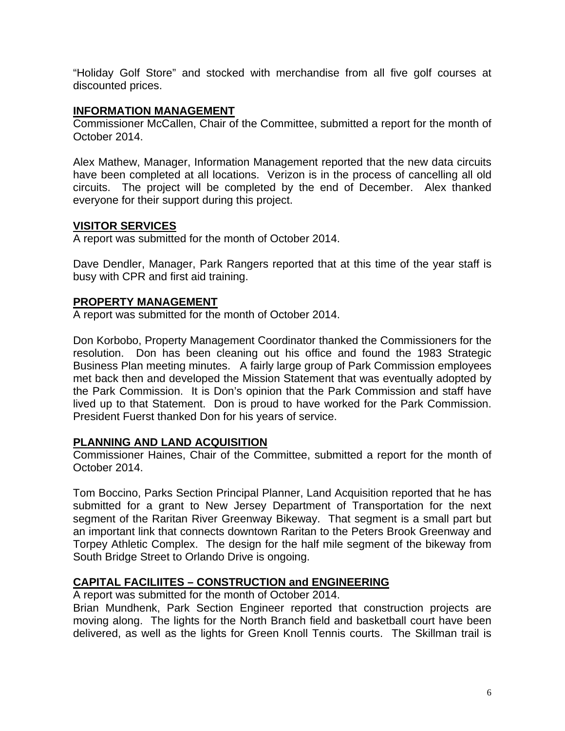"Holiday Golf Store" and stocked with merchandise from all five golf courses at discounted prices.

#### **INFORMATION MANAGEMENT**

Commissioner McCallen, Chair of the Committee, submitted a report for the month of October 2014.

Alex Mathew, Manager, Information Management reported that the new data circuits have been completed at all locations. Verizon is in the process of cancelling all old circuits. The project will be completed by the end of December. Alex thanked everyone for their support during this project.

## **VISITOR SERVICES**

A report was submitted for the month of October 2014.

Dave Dendler, Manager, Park Rangers reported that at this time of the year staff is busy with CPR and first aid training.

#### **PROPERTY MANAGEMENT**

A report was submitted for the month of October 2014.

Don Korbobo, Property Management Coordinator thanked the Commissioners for the resolution. Don has been cleaning out his office and found the 1983 Strategic Business Plan meeting minutes. A fairly large group of Park Commission employees met back then and developed the Mission Statement that was eventually adopted by the Park Commission. It is Don's opinion that the Park Commission and staff have lived up to that Statement. Don is proud to have worked for the Park Commission. President Fuerst thanked Don for his years of service.

## **PLANNING AND LAND ACQUISITION**

Commissioner Haines, Chair of the Committee, submitted a report for the month of October 2014.

Tom Boccino, Parks Section Principal Planner, Land Acquisition reported that he has submitted for a grant to New Jersey Department of Transportation for the next segment of the Raritan River Greenway Bikeway. That segment is a small part but an important link that connects downtown Raritan to the Peters Brook Greenway and Torpey Athletic Complex. The design for the half mile segment of the bikeway from South Bridge Street to Orlando Drive is ongoing.

## **CAPITAL FACILIITES – CONSTRUCTION and ENGINEERING**

A report was submitted for the month of October 2014.

Brian Mundhenk, Park Section Engineer reported that construction projects are moving along. The lights for the North Branch field and basketball court have been delivered, as well as the lights for Green Knoll Tennis courts. The Skillman trail is